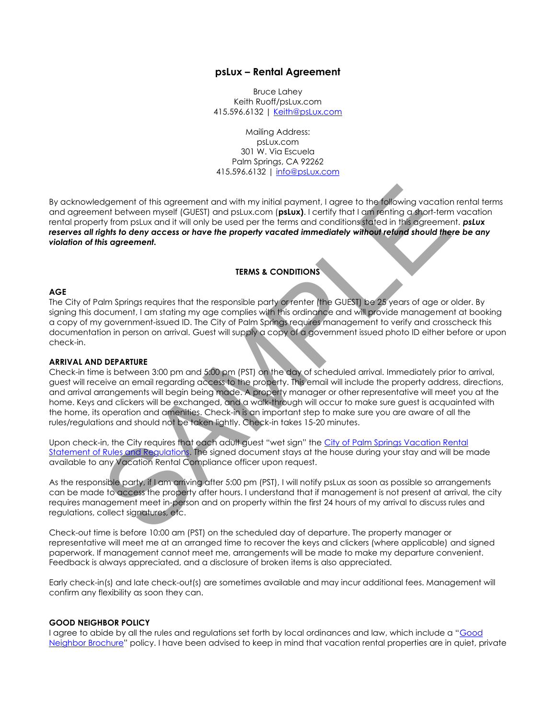# **psLux – Rental Agreement**

Bruce Lahey Keith Ruoff/psLux.com 415.596.6132 | [Keith@psLux.com](mailto:Keith@psLux.com)

Mailing Address: psLux.com 301 W. Via Escuela Palm Springs, CA 92262 415.596.6132 | [info@psLux.com](mailto:info@psLux.com)

By acknowledgement of this agreement and with my initial payment, I agree to the following vacation rental terms and agreement between myself (GUEST) and psLux.com (**psLux)**. I certify that I am renting a short-term vacation rental property from psLux and it will only be used per the terms and conditions stated in this agreement. *psLux*  reserves all rights to deny access or have the property vacated immediately without refund should there be any *violation of this agreement.*

# **TERMS & CONDITIONS**

## **AGE**

The City of Palm Springs requires that the responsible party or renter (the GUEST) be 25 years of age or older. By signing this document, I am stating my age complies with this ordinance and will provide management at booking a copy of my government-issued ID. The City of Palm Springs requires management to verify and crosscheck this documentation in person on arrival. Guest will supply a copy of a government issued photo ID either before or upon check-in.

#### **ARRIVAL AND DEPARTURE**

Check-in time is between 3:00 pm and 5:00 pm (PST) on the day of scheduled arrival. Immediately prior to arrival, guest will receive an email regarding access to the property. This email will include the property address, directions, and arrival arrangements will begin being made. A property manager or other representative will meet you at the home. Keys and clickers will be exchanged, and a walk-through will occur to make sure guest is acquainted with the home, its operation and amenities. Check-in is an important step to make sure you are aware of all the rules/regulations and should not be taken lightly. Check-in takes 15-20 minutes. dgement of this agreement and with my initial payment, 1 agree to the following vacation<br>ent between myself (GUEST) and pstux.com (**pstux**). I certify that I am fenting a dspot-term<br>ty throm pstux and it will only be used

Upon check-in, the City requires that each adult guest "wet sign" the City of Palm Springs Vacation Rental [Statement of Rules and Regulations.](https://www.palmspringsca.gov/home/showdocument?id=58566) The signed document stays at the house during your stay and will be made available to any Vacation Rental Compliance officer upon request.

As the responsible party, if I am arriving after 5:00 pm (PST), I will notify psLux as soon as possible so arrangements can be made to access the property after hours. I understand that if management is not present at arrival, the city requires management meet in-person and on property within the first 24 hours of my arrival to discuss rules and regulations, collect signatures, etc.

Check-out time is before 10:00 am (PST) on the scheduled day of departure. The property manager or representative will meet me at an arranged time to recover the keys and clickers (where applicable) and signed paperwork. If management cannot meet me, arrangements will be made to make my departure convenient. Feedback is always appreciated, and a disclosure of broken items is also appreciated.

Early check-in(s) and late check-out(s) are sometimes available and may incur additional fees. Management will confirm any flexibility as soon they can.

#### **GOOD NEIGHBOR POLICY**

I agree to abide by all the rules and regulations set forth by local ordinances and law, which include a "[Good](https://www.palmspringsca.gov/home/showdocument?id=51090)  [Neighbor](https://www.palmspringsca.gov/home/showdocument?id=51090) Brochure" policy. I have been advised to keep in mind that vacation rental properties are in quiet, private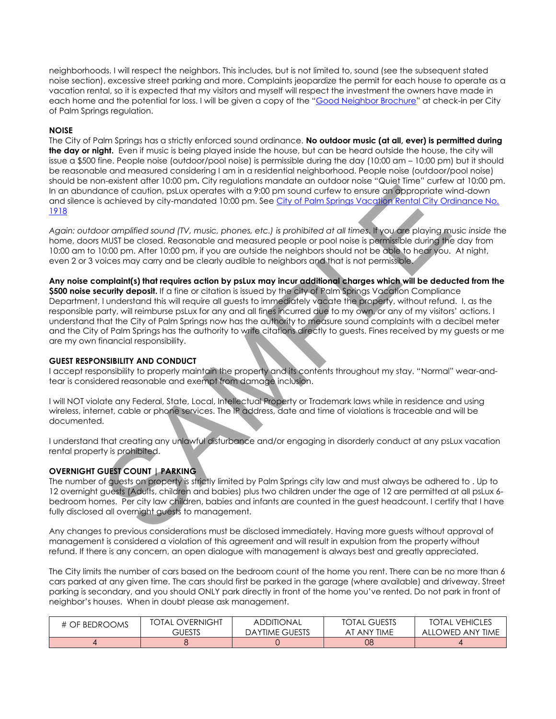neighborhoods. I will respect the neighbors. This includes, but is not limited to, sound (see the subsequent stated noise section), excessive street parking and more. Complaints jeopardize the permit for each house to operate as a vacation rental, so it is expected that my visitors and myself will respect the investment the owners have made in each home and the potential for loss. I will be given a copy of the "[Good Neighbor Brochure](https://www.palmspringsca.gov/home/showdocument?id=51090)" at check-in per City of Palm Springs regulation.

# **NOISE**

The City of Palm Springs has a strictly enforced sound ordinance. **No outdoor music (at all, ever) is permitted during the day or night.** Even if music is being played inside the house, but can be heard outside the house, the city will issue a \$500 fine. People noise (outdoor/pool noise) is permissible during the day (10:00 am – 10:00 pm) but it should be reasonable and measured considering I am in a residential neighborhood. People noise (outdoor/pool noise) should be non-existent after 10:00 pm**.** City regulations mandate an outdoor noise "Quiet Time" curfew at 10:00 pm. In an abundance of caution, psLux operates with a 9:00 pm sound curfew to ensure an appropriate wind-down and silence is achieved by city-mandated 10:00 pm. See [City of Palm Springs Vacation Rental City Ordinance No.](http://www.palmspringsca.gov/home/showdocument?id=50286)  [1918](http://www.palmspringsca.gov/home/showdocument?id=50286)

*Again: outdoor amplified sound (TV, music, phones, etc.) is prohibited at all times*. If you are playing music *inside* the home, doors MUST be closed. Reasonable and measured people or pool noise is permissible during the day from 10:00 am to 10:00 pm. After 10:00 pm, if you are outside the neighbors should not be able to hear you. At night, even 2 or 3 voices may carry and be clearly audible to neighbors and that is not permissible.

**Any noise complaint(s) that requires action by psLux may incur additional charges which will be deducted from the \$500 noise security deposit.** If a fine or citation is issued by the city of Palm Springs Vacation Compliance Department, I understand this will require all guests to immediately vacate the property, without refund. I, as the responsible party, will reimburse psLux for any and all fines incurred due to my own, or any of my visitors' actions. I understand that the City of Palm Springs now has the authority to measure sound complaints with a decibel meter and the City of Palm Springs has the authority to write citations directly to guests. Fines received by my guests or me are my own financial responsibility. in once of caution, plux operates with a 9:00 pm sound curiew to ensure an oppopriate window scheme of paying the state of our control of the state of the properties of the state of the properties of the control of the con

# **GUEST RESPONSIBILITY AND CONDUCT**

I accept responsibility to properly maintain the property and its contents throughout my stay. "Normal" wear-andtear is considered reasonable and exempt from damage inclusion.

I will NOT violate any Federal, State, Local, Intellectual Property or Trademark laws while in residence and using wireless, internet, cable or phone services. The IP address, date and time of violations is traceable and will be documented.

I understand that creating any unlawful disturbance and/or engaging in disorderly conduct at any psLux vacation rental property is prohibited.

# **OVERNIGHT GUEST COUNT | PARKING**

The number of guests on property is strictly limited by Palm Springs city law and must always be adhered to . Up to 12 overnight guests (Adults, children and babies) plus two children under the age of 12 are permitted at all psLux 6 bedroom homes. Per city law children, babies and infants are counted in the guest headcount. I certify that I have fully disclosed all overnight guests to management.

Any changes to previous considerations must be disclosed immediately. Having more guests without approval of management is considered a violation of this agreement and will result in expulsion from the property without refund. If there is any concern, an open dialogue with management is always best and greatly appreciated.

The City limits the number of cars based on the bedroom count of the home you rent. There can be no more than 6 cars parked at any given time. The cars should first be parked in the garage (where available) and driveway. Street parking is secondary, and you should ONLY park directly in front of the home you've rented. Do not park in front of neighbor's houses. When in doubt please ask management.

| # OF BEDROOMS | TOTAL OVERNIGHT | ADDITIONAL            | <b>TOTAL GUESTS</b> | <b>VEHICLES</b><br>TOTAL |
|---------------|-----------------|-----------------------|---------------------|--------------------------|
|               | GUESTS          | <b>DAYTIME GUESTS</b> | AT ANY TIME         | ALLOWED ANY TIME         |
|               |                 |                       | 08                  |                          |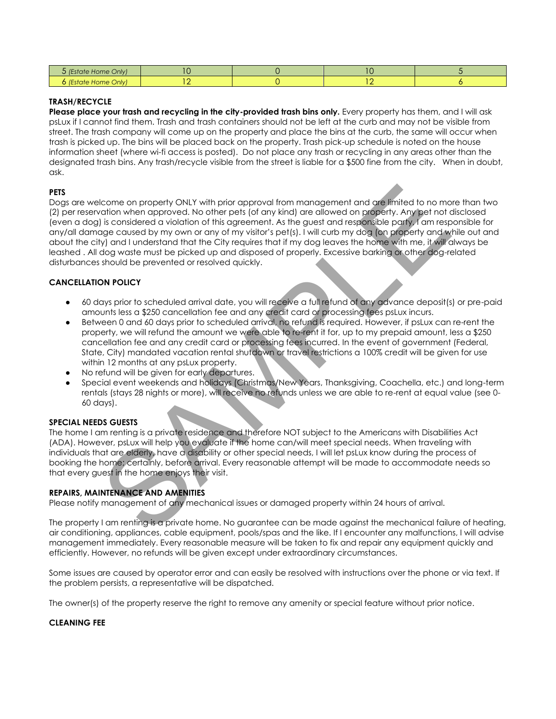| 5 (Estate Home Only) | 0 | C |  |
|----------------------|---|---|--|
| 6 (Estate Home Only) |   |   |  |

## **TRASH/RECYCLE**

**Please place your trash and recycling in the city-provided trash bins only.** Every property has them, and I will ask psLux if I cannot find them. Trash and trash containers should not be left at the curb and may not be visible from street. The trash company will come up on the property and place the bins at the curb, the same will occur when trash is picked up. The bins will be placed back on the property. Trash pick-up schedule is noted on the house information sheet (where wi-fi access is posted). Do not place any trash or recycling in any areas other than the designated trash bins. Any trash/recycle visible from the street is liable for a \$500 fine from the city. When in doubt, ask.

## **PETS**

Dogs are welcome on property ONLY with prior approval from management and are limited to no more than two (2) per reservation when approved. No other pets (of any kind) are allowed on property. Any pet not disclosed (even a dog) is considered a violation of this agreement. As the guest and responsible party, I am responsible for any/all damage caused by my own or any of my visitor's pet(s). I will curb my dog (on property and while out and about the city) and I understand that the City requires that if my dog leaves the home with me, it will always be leashed . All dog waste must be picked up and disposed of properly. Excessive barking or other dog-related disturbances should be prevented or resolved quickly. icome on property ONLY with prior approval from management and are limited to no moration when approved. No other pets (of any kind) are allowed on property. Any bet not stay to provide a relation of this ognes and test on

# **CANCELLATION POLICY**

- 60 days prior to scheduled arrival date, you will receive a full refund of any advance deposit(s) or pre-paid amounts less a \$250 cancellation fee and any credit card or processing fees psLux incurs.
- Between 0 and 60 days prior to scheduled arrival, no refund is required. However, if psLux can re-rent the property, we will refund the amount we were able to re-rent it for, up to my prepaid amount, less a \$250 cancellation fee and any credit card or processing fees incurred. In the event of government (Federal, State, City) mandated vacation rental shutdown or travel restrictions a 100% credit will be given for use within 12 months at any psLux property.
- No refund will be given for early departures.
- Special event weekends and holidays (Christmas/New Years, Thanksgiving, Coachella, etc.) and long-term rentals (stays 28 nights or more), will receive no refunds unless we are able to re-rent at equal value (see 0- 60 days).

#### **SPECIAL NEEDS GUESTS**

The home I am renting is a private residence and therefore NOT subject to the Americans with Disabilities Act (ADA). However, psLux will help you evaluate if the home can/will meet special needs. When traveling with individuals that are elderly, have a disability or other special needs, I will let psLux know during the process of booking the home; certainly, before arrival. Every reasonable attempt will be made to accommodate needs so that every guest in the home enjoys their visit.

#### **REPAIRS, MAINTENANCE AND AMENITIES**

Please notify management of any mechanical issues or damaged property within 24 hours of arrival.

The property I am renting is a private home. No guarantee can be made against the mechanical failure of heating, air conditioning, appliances, cable equipment, pools/spas and the like. If I encounter any malfunctions, I will advise management immediately. Every reasonable measure will be taken to fix and repair any equipment quickly and efficiently. However, no refunds will be given except under extraordinary circumstances.

Some issues are caused by operator error and can easily be resolved with instructions over the phone or via text. If the problem persists, a representative will be dispatched.

The owner(s) of the property reserve the right to remove any amenity or special feature without prior notice.

#### **CLEANING FEE**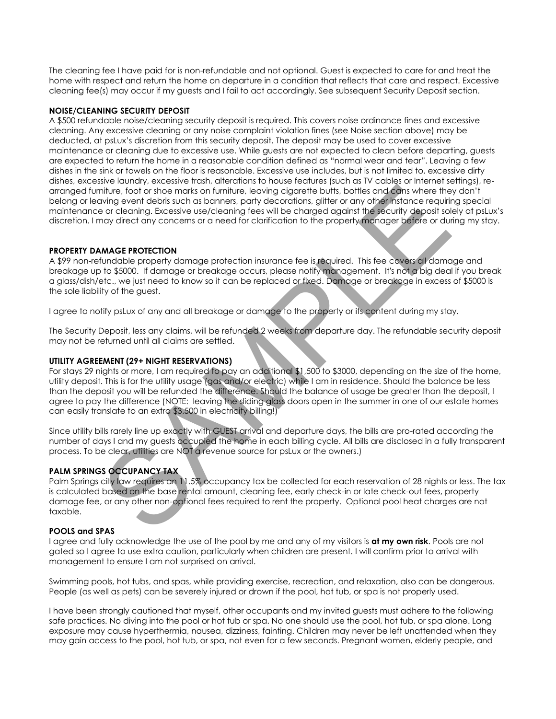The cleaning fee I have paid for is non-refundable and not optional. Guest is expected to care for and treat the home with respect and return the home on departure in a condition that reflects that care and respect. Excessive cleaning fee(s) may occur if my guests and I fail to act accordingly. See subsequent Security Deposit section.

## **NOISE/CLEANING SECURITY DEPOSIT**

A \$500 refundable noise/cleaning security deposit is required. This covers noise ordinance fines and excessive cleaning. Any excessive cleaning or any noise complaint violation fines (see Noise section above) may be deducted, at psLux's discretion from this security deposit. The deposit may be used to cover excessive maintenance or cleaning due to excessive use. While guests are not expected to clean before departing, guests are expected to return the home in a reasonable condition defined as "normal wear and tear". Leaving a few dishes in the sink or towels on the floor is reasonable. Excessive use includes, but is not limited to, excessive dirty dishes, excessive laundry, excessive trash, alterations to house features (such as TV cables or Internet settings), rearranged furniture, foot or shoe marks on furniture, leaving cigarette butts, bottles and cans where they don't belong or leaving event debris such as banners, party decorations, glitter or any other instance requiring special maintenance or cleaning. Excessive use/cleaning fees will be charged against the security deposit solely at psLux's discretion. I may direct any concerns or a need for clarification to the property manager before or during my stay.

# **PROPERTY DAMAGE PROTECTION**

A \$99 non-refundable property damage protection insurance fee is required. This fee covers all damage and breakage up to \$5000. If damage or breakage occurs, please notify management. It's not a big deal if you break a glass/dish/etc., we just need to know so it can be replaced or fixed. Damage or breakage in excess of \$5000 is the sole liability of the guest.

I agree to notify psLux of any and all breakage or damage to the property or its content during my stay.

The Security Deposit, less any claims, will be refunded 2 weeks from departure day. The refundable security deposit may not be returned until all claims are settled.

## **UTILITY AGREEMENT (29+ NIGHT RESERVATIONS)**

For stays 29 nights or more, I am required to pay an additional \$1,500 to \$3000, depending on the size of the home, utility deposit. This is for the utility usage (gas and/or electric) while I am in residence. Should the balance be less than the deposit you will be refunded the difference. Should the balance of usage be greater than the deposit, I agree to pay the difference (NOTE: leaving the sliding glass doors open in the summer in one of our estate homes can easily translate to an extra \$3,500 in electricity billing!) when the following the based of the there is the control of the control of the control of the based on the based on the based on the based on the based on the based on the based on the based on the based on the based on th

Since utility bills rarely line up exactly with GUEST arrival and departure days, the bills are pro-rated according the number of days I and my guests occupied the home in each billing cycle. All bills are disclosed in a fully transparent process. To be clear, utilities are NOT a revenue source for psLux or the owners.)

# **PALM SPRINGS OCCUPANCY TAX**

Palm Springs city law requires an 11.5% occupancy tax be collected for each reservation of 28 nights or less. The tax is calculated based on the base rental amount, cleaning fee, early check-in or late check-out fees, property damage fee, or any other non-optional fees required to rent the property. Optional pool heat charges are not taxable.

#### **POOLS and SPAS**

I agree and fully acknowledge the use of the pool by me and any of my visitors is **at my own risk**. Pools are not gated so I agree to use extra caution, particularly when children are present. I will confirm prior to arrival with management to ensure I am not surprised on arrival.

Swimming pools, hot tubs, and spas, while providing exercise, recreation, and relaxation, also can be dangerous. People (as well as pets) can be severely injured or drown if the pool, hot tub, or spa is not properly used.

I have been strongly cautioned that myself, other occupants and my invited guests must adhere to the following safe practices. No diving into the pool or hot tub or spa. No one should use the pool, hot tub, or spa alone. Long exposure may cause hyperthermia, nausea, dizziness, fainting. Children may never be left unattended when they may gain access to the pool, hot tub, or spa, not even for a few seconds. Pregnant women, elderly people, and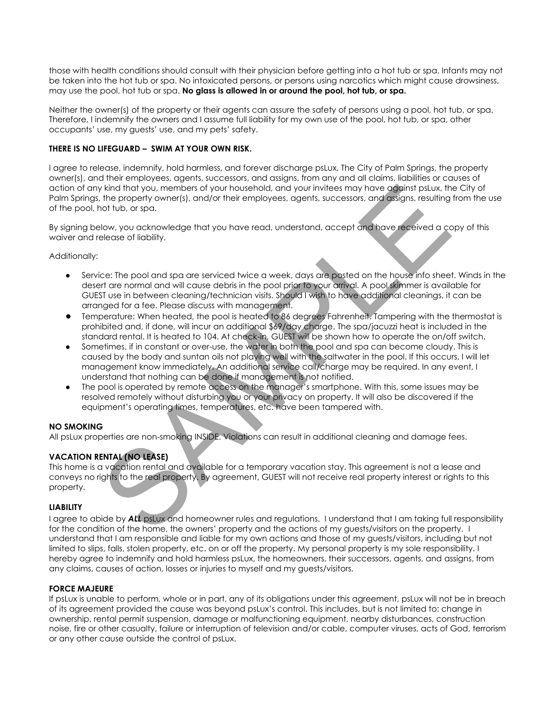those with health conditions should consult with their physician before getting into a hot tub or spa. Infants may not be taken into the hot tub or spa. No intoxicated persons, or persons using narcotics which might cause drowsiness, may use the pool, hot tub or spa. **No glass is allowed in or around the pool, hot tub, or spa.**

Neither the owner(s) of the property or their agents can assure the safety of persons using a pool, hot tub, or spa. Therefore, I indemnify the owners and I assume full liability for my own use of the pool, hot tub, or spa, other occupants' use, my guests' use, and my pets' safety.

# **THERE IS NO LIFEGUARD – SWIM AT YOUR OWN RISK.**

I agree to release, indemnify, hold harmless, and forever discharge psLux, The City of Palm Springs, the property owner(s), and their employees, agents, successors, and assigns, from any and all claims, liabilities or causes of action of any kind that you, members of your household, and your invitees may have against psLux, the City of Palm Springs, the property owner(s), and/or their employees, agents, successors, and assigns, resulting from the use of the pool, hot tub, or spa.

By signing below, you acknowledge that you have read, understand, accept and have received a copy of this waiver and release of liability.

# Additionally:

- Service: The pool and spa are serviced twice a week, days are posted on the house info sheet. Winds in the desert are normal and will cause debris in the pool prior to your arrival. A pool skimmer is available for GUEST use in between cleaning/technician visits. Should I wish to have additional cleanings, it can be arranged for a fee. Please discuss with management.
- Temperature: When heated, the pool is heated to 86 degrees Fahrenheit. Tampering with the thermostat is prohibited and, if done, will incur an additional \$69/day charge. The spa/jacuzzi heat is included in the standard rental. It is heated to 104. At check-in, GUEST will be shown how to operate the on/off switch.
- Sometimes, if in constant or over-use, the water in both the pool and spa can become cloudy. This is caused by the body and suntan oils not playing well with the saltwater in the pool. If this occurs, I will let management know immediately. An additional service call/charge may be required. In any event, I understand that nothing can be done if management is not notified. y kind that you, members of your household, and your invities may have adjainst pstux. In the property owner(s), and/or their employees, agents, successors, and gistigns, resulting<br>how, you acknowledge that you have read,
- The pool is operated by remote access on the manager's smartphone. With this, some issues may be resolved remotely without disturbing you or your privacy on property. It will also be discovered if the equipment's operating times, temperatures, etc. have been tampered with.

# **NO SMOKING**

All psLux properties are non-smoking INSIDE. Violations can result in additional cleaning and damage fees.

# **VACATION RENTAL (NO LEASE)**

This home is a vacation rental and available for a temporary vacation stay. This agreement is not a lease and conveys no rights to the real property. By agreement, GUEST will not receive real property interest or rights to this property.

# **LIABILITY**

I agree to abide by *ALL* psLux and homeowner rules and regulations. I understand that I am taking full responsibility for the condition of the home, the owners' property and the actions of my guests/visitors on the property. I understand that I am responsible and liable for my own actions and those of my guests/visitors, including but not limited to slips, falls, stolen property, etc. on or off the property. My personal property is my sole responsibility. I hereby agree to indemnify and hold harmless psLux, the homeowners, their successors, agents, and assigns, from any claims, causes of action, losses or injuries to myself and my guests/visitors.

# **FORCE MAJEURE**

If psLux is unable to perform, whole or in part, any of its obligations under this agreement, psLux will not be in breach of its agreement provided the cause was beyond psLux's control. This includes, but is not limited to: change in ownership, rental permit suspension, damage or malfunctioning equipment, nearby disturbances, construction noise, fire or other casualty, failure or interruption of television and/or cable, computer viruses, acts of God, terrorism or any other cause outside the control of psLux.